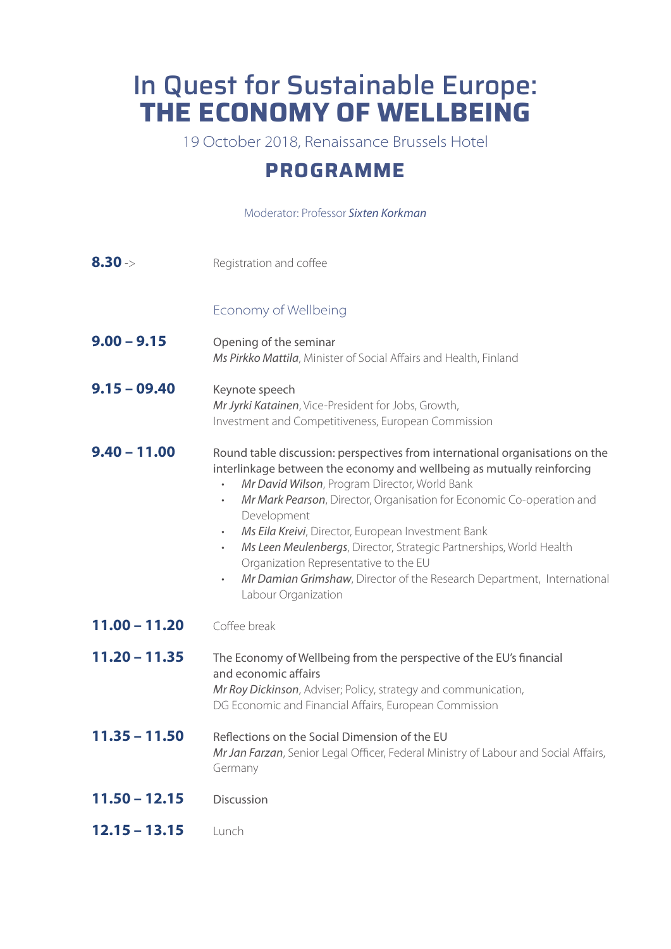## In Quest for Sustainable Europe: **THE ECONOMY OF WELLBEING**

19 October 2018, Renaissance Brussels Hotel

## **PROGRAMME**

## Moderator: Professor *Sixten Korkman*

| $8.30 -$        | Registration and coffee                                                                                                                                                                                                                                                                                                                                                                                                                                                                                                                                                                                                    |
|-----------------|----------------------------------------------------------------------------------------------------------------------------------------------------------------------------------------------------------------------------------------------------------------------------------------------------------------------------------------------------------------------------------------------------------------------------------------------------------------------------------------------------------------------------------------------------------------------------------------------------------------------------|
|                 | Economy of Wellbeing                                                                                                                                                                                                                                                                                                                                                                                                                                                                                                                                                                                                       |
| $9.00 - 9.15$   | Opening of the seminar<br>Ms Pirkko Mattila, Minister of Social Affairs and Health, Finland                                                                                                                                                                                                                                                                                                                                                                                                                                                                                                                                |
| $9.15 - 09.40$  | Keynote speech<br>Mr Jyrki Katainen, Vice-President for Jobs, Growth,<br>Investment and Competitiveness, European Commission                                                                                                                                                                                                                                                                                                                                                                                                                                                                                               |
| $9.40 - 11.00$  | Round table discussion: perspectives from international organisations on the<br>interlinkage between the economy and wellbeing as mutually reinforcing<br>Mr David Wilson, Program Director, World Bank<br>Mr Mark Pearson, Director, Organisation for Economic Co-operation and<br>$\bullet$<br>Development<br>Ms Eila Kreivi, Director, European Investment Bank<br>$\bullet$<br>Ms Leen Meulenbergs, Director, Strategic Partnerships, World Health<br>$\bullet$<br>Organization Representative to the EU<br>Mr Damian Grimshaw, Director of the Research Department, International<br>$\bullet$<br>Labour Organization |
| $11.00 - 11.20$ | Coffee break                                                                                                                                                                                                                                                                                                                                                                                                                                                                                                                                                                                                               |
| $11.20 - 11.35$ | The Economy of Wellbeing from the perspective of the EU's financial<br>and economic affairs<br>Mr Roy Dickinson, Adviser; Policy, strategy and communication,<br>DG Economic and Financial Affairs, European Commission                                                                                                                                                                                                                                                                                                                                                                                                    |
| $11.35 - 11.50$ | Reflections on the Social Dimension of the EU<br>Mr Jan Farzan, Senior Legal Officer, Federal Ministry of Labour and Social Affairs,<br>Germany                                                                                                                                                                                                                                                                                                                                                                                                                                                                            |
| $11.50 - 12.15$ | Discussion                                                                                                                                                                                                                                                                                                                                                                                                                                                                                                                                                                                                                 |
| $12.15 - 13.15$ | Lunch                                                                                                                                                                                                                                                                                                                                                                                                                                                                                                                                                                                                                      |